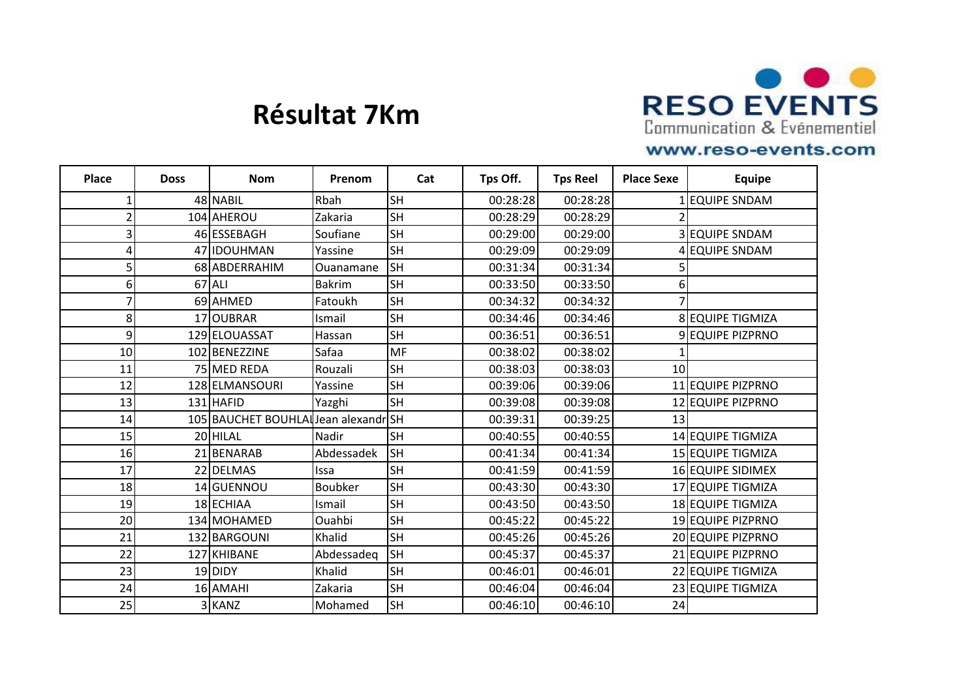

# **Résultat 7Km**

### www.reso-events.com

| <b>Place</b>     | <b>Doss</b> | <b>Nom</b>                           | Prenom     | Cat       | Tps Off. | <b>Tps Reel</b> | <b>Place Sexe</b> | <b>Equipe</b>           |
|------------------|-------------|--------------------------------------|------------|-----------|----------|-----------------|-------------------|-------------------------|
|                  |             | 48 NABIL                             | Rbah       | <b>SH</b> | 00:28:28 | 00:28:28        |                   | LEQUIPE SNDAM           |
|                  |             | 104 AHEROU                           | Zakaria    | <b>SH</b> | 00:28:29 | 00:28:29        |                   |                         |
| 3                |             | 46 ESSEBAGH                          | Soufiane   | <b>SH</b> | 00:29:00 | 00:29:00        |                   | 3 EQUIPE SNDAM          |
| 4                |             | 47 IDOUHMAN                          | Yassine    | <b>SH</b> | 00:29:09 | 00:29:09        |                   | 4 EQUIPE SNDAM          |
| 5                |             | 68 ABDERRAHIM                        | Ouanamane  | <b>SH</b> | 00:31:34 | 00:31:34        |                   |                         |
| $6 \overline{6}$ |             | $67$ ALI                             | Bakrim     | <b>SH</b> | 00:33:50 | 00:33:50        | $6\vert$          |                         |
| 7                |             | 69 AHMED                             | Fatoukh    | <b>SH</b> | 00:34:32 | 00:34:32        |                   |                         |
| 8                |             | 17 OUBRAR                            | Ismail     | <b>SH</b> | 00:34:46 | 00:34:46        |                   | 8 EQUIPE TIGMIZA        |
| 9                |             | 129 ELOUASSAT                        | Hassan     | <b>SH</b> | 00:36:51 | 00:36:51        |                   | <b>9 EQUIPE PIZPRNO</b> |
| 10               |             | 102 BENEZZINE                        | Safaa      | MF        | 00:38:02 | 00:38:02        |                   |                         |
| 11               |             | 75 MED REDA                          | Rouzali    | SH        | 00:38:03 | 00:38:03        | 10                |                         |
| 12               |             | 128 ELMANSOURI                       | Yassine    | <b>SH</b> | 00:39:06 | 00:39:06        |                   | 11 EQUIPE PIZPRNO       |
| 13               |             | 131 HAFID                            | Yazghi     | <b>SH</b> | 00:39:08 | 00:39:08        |                   | 12 EQUIPE PIZPRNO       |
| 14               |             | 105 BAUCHET BOUHLAI Jean alexandr SH |            |           | 00:39:31 | 00:39:25        | 13                |                         |
| 15               |             | 20 HILAL                             | Nadir      | <b>SH</b> | 00:40:55 | 00:40:55        |                   | 14 EQUIPE TIGMIZA       |
| 16               |             | 21 BENARAB                           | Abdessadek | <b>SH</b> | 00:41:34 | 00:41:34        |                   | 15 EQUIPE TIGMIZA       |
| 17               |             | 22 DELMAS                            | Issa       | <b>SH</b> | 00:41:59 | 00:41:59        |                   | 16 EQUIPE SIDIMEX       |
| 18               |             | 14 GUENNOU                           | Boubker    | <b>SH</b> | 00:43:30 | 00:43:30        |                   | 17 EQUIPE TIGMIZA       |
| 19               |             | 18 ECHIAA                            | Ismail     | <b>SH</b> | 00:43:50 | 00:43:50        |                   | 18 EQUIPE TIGMIZA       |
| 20               |             | 134 MOHAMED                          | Ouahbi     | <b>SH</b> | 00:45:22 | 00:45:22        |                   | 19 EQUIPE PIZPRNO       |
| 21               |             | 132 BARGOUNI                         | Khalid     | <b>SH</b> | 00:45:26 | 00:45:26        |                   | 20 EQUIPE PIZPRNO       |
| 22               |             | 127 KHIBANE                          | Abdessadeq | <b>SH</b> | 00:45:37 | 00:45:37        |                   | 21 EQUIPE PIZPRNO       |
| 23               |             | 19 DIDY                              | Khalid     | <b>SH</b> | 00:46:01 | 00:46:01        |                   | 22 EQUIPE TIGMIZA       |
| 24               |             | 16 AMAHI                             | Zakaria    | <b>SH</b> | 00:46:04 | 00:46:04        |                   | 23 EQUIPE TIGMIZA       |
| 25               |             | 3 KANZ                               | Mohamed    | <b>SH</b> | 00:46:10 | 00:46:10        | 24                |                         |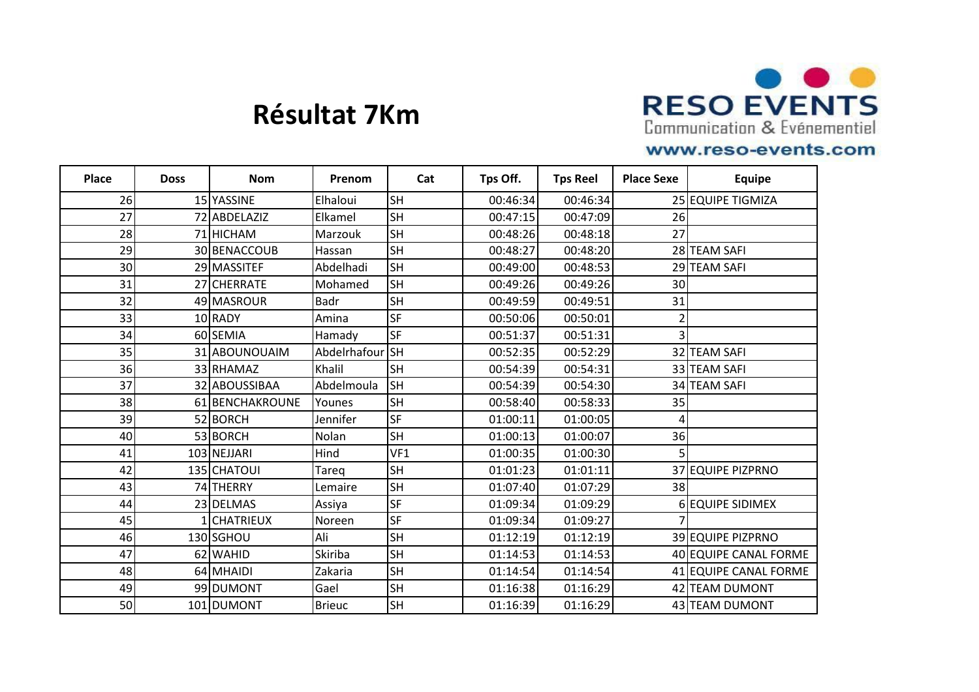

# **Résultat 7Km**

### www.reso-events.com

| Place | <b>Doss</b> | <b>Nom</b>      | Prenom        | Cat       | Tps Off. | <b>Tps Reel</b> | <b>Place Sexe</b> | <b>Equipe</b>         |
|-------|-------------|-----------------|---------------|-----------|----------|-----------------|-------------------|-----------------------|
| 26    |             | 15 YASSINE      | Elhaloui      | <b>SH</b> | 00:46:34 | 00:46:34        |                   | 25 EQUIPE TIGMIZA     |
| 27    |             | 72 ABDELAZIZ    | Elkamel       | <b>SH</b> | 00:47:15 | 00:47:09        | 26                |                       |
| 28    |             | 71 HICHAM       | Marzouk       | <b>SH</b> | 00:48:26 | 00:48:18        | 27                |                       |
| 29    |             | 30 BENACCOUB    | Hassan        | <b>SH</b> | 00:48:27 | 00:48:20        |                   | 28 TEAM SAFI          |
| 30    |             | 29 MASSITEF     | Abdelhadi     | <b>SH</b> | 00:49:00 | 00:48:53        |                   | 29 TEAM SAFI          |
| 31    |             | 27 CHERRATE     | Mohamed       | <b>SH</b> | 00:49:26 | 00:49:26        | 30                |                       |
| 32    |             | 49 MASROUR      | <b>Badr</b>   | <b>SH</b> | 00:49:59 | 00:49:51        | 31                |                       |
| 33    |             | 10 RADY         | Amina         | <b>SF</b> | 00:50:06 | 00:50:01        |                   |                       |
| 34    |             | 60 SEMIA        | Hamady        | <b>SF</b> | 00:51:37 | 00:51:31        | 3                 |                       |
| 35    |             | 31 ABOUNOUAIM   | Abdelrhafour  | <b>SH</b> | 00:52:35 | 00:52:29        |                   | 32 TEAM SAFI          |
| 36    |             | 33 RHAMAZ       | Khalil        | <b>SH</b> | 00:54:39 | 00:54:31        |                   | 33 TEAM SAFI          |
| 37    |             | 32 ABOUSSIBAA   | Abdelmoula    | <b>SH</b> | 00:54:39 | 00:54:30        |                   | 34 TEAM SAFI          |
| 38    |             | 61 BENCHAKROUNE | Younes        | <b>SH</b> | 00:58:40 | 00:58:33        | 35                |                       |
| 39    |             | 52 BORCH        | Jennifer      | <b>SF</b> | 01:00:11 | 01:00:05        | 4                 |                       |
| 40    |             | 53 BORCH        | Nolan         | <b>SH</b> | 01:00:13 | 01:00:07        | 36                |                       |
| 41    |             | 103 NEJJARI     | Hind          | VF1       | 01:00:35 | 01:00:30        |                   |                       |
| 42    |             | 135 CHATOUI     | Tareq         | <b>SH</b> | 01:01:23 | 01:01:11        |                   | 37 EQUIPE PIZPRNO     |
| 43    |             | 74 THERRY       | Lemaire       | <b>SH</b> | 01:07:40 | 01:07:29        | 38                |                       |
| 44    |             | 23 DELMAS       | Assiya        | <b>SF</b> | 01:09:34 | 01:09:29        |                   | 6 EQUIPE SIDIMEX      |
| 45    |             | 1CHATRIEUX      | Noreen        | <b>SF</b> | 01:09:34 | 01:09:27        |                   |                       |
| 46    |             | 130 SGHOU       | Ali           | <b>SH</b> | 01:12:19 | 01:12:19        |                   | 39 EQUIPE PIZPRNO     |
| 47    |             | 62 WAHID        | Skiriba       | <b>SH</b> | 01:14:53 | 01:14:53        |                   | 40 EQUIPE CANAL FORME |
| 48    |             | 64 MHAIDI       | Zakaria       | <b>SH</b> | 01:14:54 | 01:14:54        |                   | 41 EQUIPE CANAL FORME |
| 49    |             | 99 DUMONT       | Gael          | <b>SH</b> | 01:16:38 | 01:16:29        |                   | 42 TEAM DUMONT        |
| 50    |             | 101 DUMONT      | <b>Brieuc</b> | <b>SH</b> | 01:16:39 | 01:16:29        |                   | 43 TEAM DUMONT        |